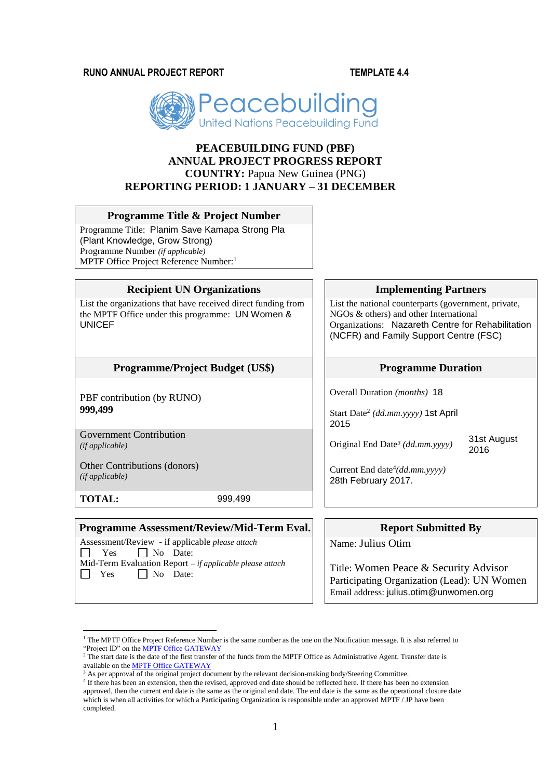**RUNO ANNUAL PROJECT REPORT TEMPLATE 4.4**



# **PEACEBUILDING FUND (PBF) ANNUAL PROJECT PROGRESS REPORT COUNTRY:** Papua New Guinea (PNG) **REPORTING PERIOD: 1 JANUARY – 31 DECEMBER**

#### **Programme Title & Project Number**

Programme Title: Planim Save Kamapa Strong Pla (Plant Knowledge, Grow Strong) Programme Number *(if applicable)*  MPTF Office Project Reference Number:<sup>1</sup>

#### **Recipient UN Organizations Implementing Partners**

List the organizations that have received direct funding from the MPTF Office under this programme: UN Women & UNICEF

#### **Programme/Project Budget (US\$) Programme Duration**

PBF contribution (by RUNO) **999,499**

Government Contribution<br>(if applicable) *(if applicable)* Original End Date*<sup>3</sup> (dd.mm.yyyy)* 31st August

Other Contributions (donors) *(if applicable)*

**TOTAL:** 999,499

#### **Programme Assessment/Review/Mid-Term Eval.** Report Submitted By

Assessment/Review - if applicable *please attach*  $\Box$  Yes  $\Box$  No Date: Mid-Term Evaluation Report *– if applicable please attach*  $\Box$  Yes  $\Box$  No Date:

List the national counterparts (government, private, NGOs & others) and other International Organizations: Nazareth Centre for Rehabilitation (NCFR) and Family Support Centre (FSC)

Overall Duration *(months)* 18

Start Date<sup>2</sup> *(dd.mm.yyyy)* 1st April 2015

2016

Current End date<sup>4</sup> *(dd.mm.yyyy)* 28th February 2017.

Name: Julius Otim

Title: Women Peace & Security Advisor Participating Organization (Lead): UN Women Email address: julius.otim@unwomen.org

<sup>1</sup> <sup>1</sup> The MPTF Office Project Reference Number is the same number as the one on the Notification message. It is also referred to "Project ID" on th[e MPTF Office GATEWAY](http://mdtf.undp.org/)

<sup>&</sup>lt;sup>2</sup> The start date is the date of the first transfer of the funds from the MPTF Office as Administrative Agent. Transfer date is available on th[e MPTF Office GATEWAY](http://mdtf.undp.org/)

<sup>&</sup>lt;sup>3</sup> As per approval of the original project document by the relevant decision-making body/Steering Committee.

<sup>&</sup>lt;sup>4</sup> If there has been an extension, then the revised, approved end date should be reflected here. If there has been no extension approved, then the current end date is the same as the original end date. The end date is the same as the operational closure date which is when all activities for which a Participating Organization is responsible under an approved MPTF / JP have been completed.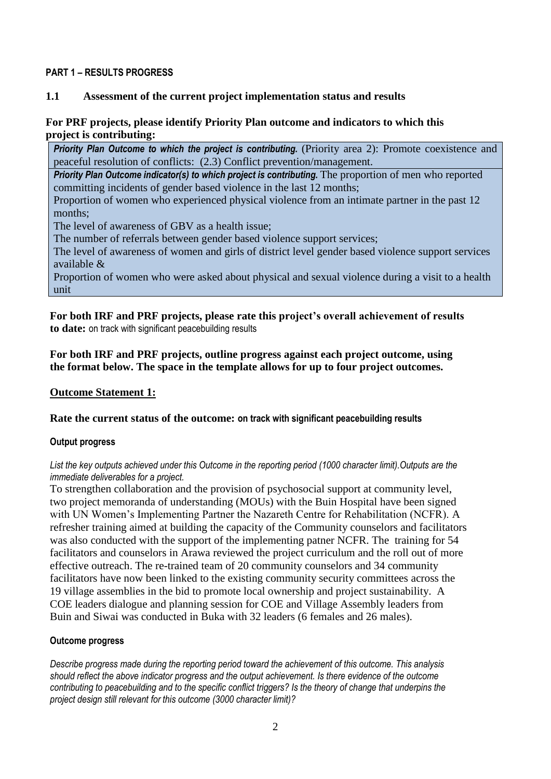### **PART 1 – RESULTS PROGRESS**

### **1.1 Assessment of the current project implementation status and results**

# **For PRF projects, please identify Priority Plan outcome and indicators to which this project is contributing:**

**Priority Plan Outcome to which the project is contributing.** (Priority area 2): Promote coexistence and peaceful resolution of conflicts: (2.3) Conflict prevention/management.

**Priority Plan Outcome indicator(s) to which project is contributing.** The proportion of men who reported committing incidents of gender based violence in the last 12 months;

Proportion of women who experienced physical violence from an intimate partner in the past 12 months;

The level of awareness of GBV as a health issue;

The number of referrals between gender based violence support services;

The level of awareness of women and girls of district level gender based violence support services available &

Proportion of women who were asked about physical and sexual violence during a visit to a health unit

**For both IRF and PRF projects, please rate this project's overall achievement of results to date:** on track with significant peacebuilding results

**For both IRF and PRF projects, outline progress against each project outcome, using the format below. The space in the template allows for up to four project outcomes.**

### **Outcome Statement 1:**

### **Rate the current status of the outcome: on track with significant peacebuilding results**

### **Output progress**

#### *List the key outputs achieved under this Outcome in the reporting period (1000 character limit).Outputs are the immediate deliverables for a project.*

To strengthen collaboration and the provision of psychosocial support at community level, two project memoranda of understanding (MOUs) with the Buin Hospital have been signed with UN Women's Implementing Partner the Nazareth Centre for Rehabilitation (NCFR). A refresher training aimed at building the capacity of the Community counselors and facilitators was also conducted with the support of the implementing patner NCFR. The training for 54 facilitators and counselors in Arawa reviewed the project curriculum and the roll out of more effective outreach. The re-trained team of 20 community counselors and 34 community facilitators have now been linked to the existing community security committees across the 19 village assemblies in the bid to promote local ownership and project sustainability. A COE leaders dialogue and planning session for COE and Village Assembly leaders from Buin and Siwai was conducted in Buka with 32 leaders (6 females and 26 males).

### **Outcome progress**

*Describe progress made during the reporting period toward the achievement of this outcome. This analysis should reflect the above indicator progress and the output achievement. Is there evidence of the outcome contributing to peacebuilding and to the specific conflict triggers? Is the theory of change that underpins the project design still relevant for this outcome (3000 character limit)?*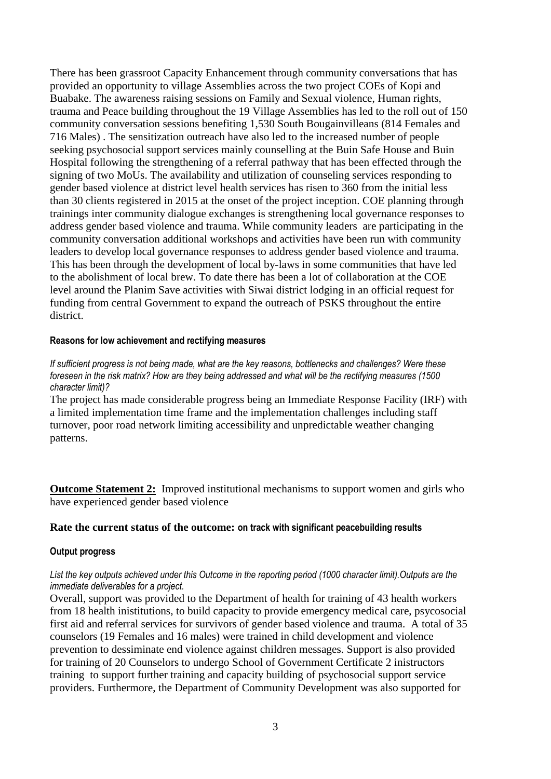There has been grassroot Capacity Enhancement through community conversations that has provided an opportunity to village Assemblies across the two project COEs of Kopi and Buabake. The awareness raising sessions on Family and Sexual violence, Human rights, trauma and Peace building throughout the 19 Village Assemblies has led to the roll out of 150 community conversation sessions benefiting 1,530 South Bougainvilleans (814 Females and 716 Males) . The sensitization outreach have also led to the increased number of people seeking psychosocial support services mainly counselling at the Buin Safe House and Buin Hospital following the strengthening of a referral pathway that has been effected through the signing of two MoUs. The availability and utilization of counseling services responding to gender based violence at district level health services has risen to 360 from the initial less than 30 clients registered in 2015 at the onset of the project inception. COE planning through trainings inter community dialogue exchanges is strengthening local governance responses to address gender based violence and trauma. While community leaders are participating in the community conversation additional workshops and activities have been run with community leaders to develop local governance responses to address gender based violence and trauma. This has been through the development of local by-laws in some communities that have led to the abolishment of local brew. To date there has been a lot of collaboration at the COE level around the Planim Save activities with Siwai district lodging in an official request for funding from central Government to expand the outreach of PSKS throughout the entire district.

#### **Reasons for low achievement and rectifying measures**

*If sufficient progress is not being made, what are the key reasons, bottlenecks and challenges? Were these foreseen in the risk matrix? How are they being addressed and what will be the rectifying measures (1500 character limit)?*

The project has made considerable progress being an Immediate Response Facility (IRF) with a limited implementation time frame and the implementation challenges including staff turnover, poor road network limiting accessibility and unpredictable weather changing patterns.

**Outcome Statement 2:** Improved institutional mechanisms to support women and girls who have experienced gender based violence

### **Rate the current status of the outcome: on track with significant peacebuilding results**

#### **Output progress**

### *List the key outputs achieved under this Outcome in the reporting period (1000 character limit).Outputs are the immediate deliverables for a project.*

Overall, support was provided to the Department of health for training of 43 health workers from 18 health inistitutions, to build capacity to provide emergency medical care, psycosocial first aid and referral services for survivors of gender based violence and trauma. A total of 35 counselors (19 Females and 16 males) were trained in child development and violence prevention to dessiminate end violence against children messages. Support is also provided for training of 20 Counselors to undergo School of Government Certificate 2 inistructors training to support further training and capacity building of psychosocial support service providers. Furthermore, the Department of Community Development was also supported for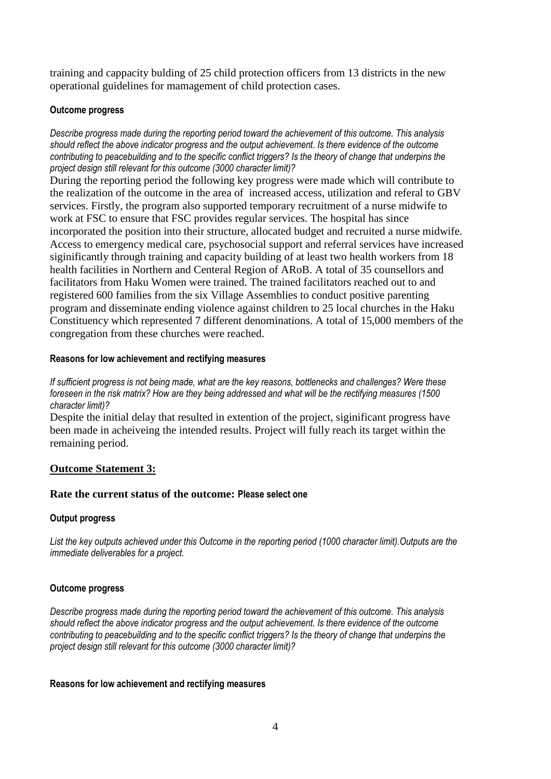training and cappacity bulding of 25 child protection officers from 13 districts in the new operational guidelines for mamagement of child protection cases.

### **Outcome progress**

*Describe progress made during the reporting period toward the achievement of this outcome. This analysis should reflect the above indicator progress and the output achievement. Is there evidence of the outcome contributing to peacebuilding and to the specific conflict triggers? Is the theory of change that underpins the project design still relevant for this outcome (3000 character limit)?* 

During the reporting period the following key progress were made which will contribute to the realization of the outcome in the area of increased access, utilization and referal to GBV services. Firstly, the program also supported temporary recruitment of a nurse midwife to work at FSC to ensure that FSC provides regular services. The hospital has since incorporated the position into their structure, allocated budget and recruited a nurse midwife. Access to emergency medical care, psychosocial support and referral services have increased siginificantly through training and capacity building of at least two health workers from 18 health facilities in Northern and Centeral Region of ARoB. A total of 35 counsellors and facilitators from Haku Women were trained. The trained facilitators reached out to and registered 600 families from the six Village Assemblies to conduct positive parenting program and disseminate ending violence against children to 25 local churches in the Haku Constituency which represented 7 different denominations. A total of 15,000 members of the congregation from these churches were reached.

### **Reasons for low achievement and rectifying measures**

*If sufficient progress is not being made, what are the key reasons, bottlenecks and challenges? Were these foreseen in the risk matrix? How are they being addressed and what will be the rectifying measures (1500 character limit)?*

Despite the initial delay that resulted in extention of the project, siginificant progress have been made in acheiveing the intended results. Project will fully reach its target within the remaining period.

# **Outcome Statement 3:**

### **Rate the current status of the outcome: Please select one**

### **Output progress**

*List the key outputs achieved under this Outcome in the reporting period (1000 character limit).Outputs are the immediate deliverables for a project.*

### **Outcome progress**

*Describe progress made during the reporting period toward the achievement of this outcome. This analysis should reflect the above indicator progress and the output achievement. Is there evidence of the outcome contributing to peacebuilding and to the specific conflict triggers? Is the theory of change that underpins the project design still relevant for this outcome (3000 character limit)?* 

### **Reasons for low achievement and rectifying measures**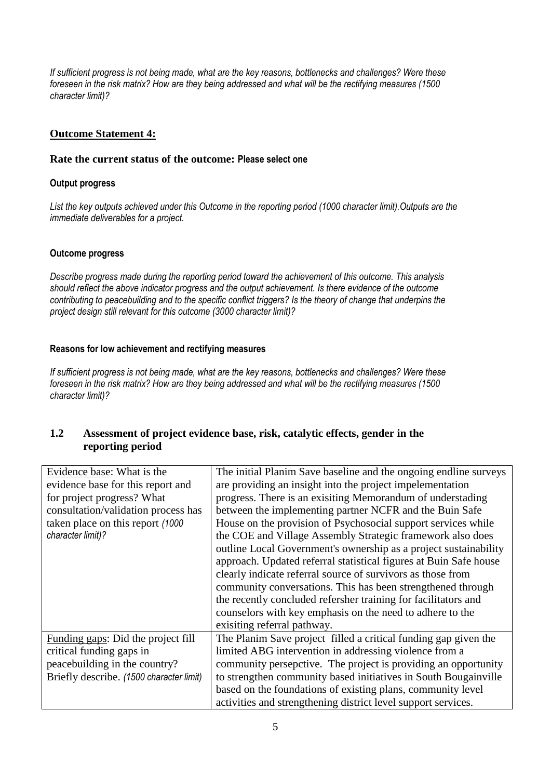*If sufficient progress is not being made, what are the key reasons, bottlenecks and challenges? Were these foreseen in the risk matrix? How are they being addressed and what will be the rectifying measures (1500 character limit)?*

# **Outcome Statement 4:**

#### **Rate the current status of the outcome: Please select one**

#### **Output progress**

*List the key outputs achieved under this Outcome in the reporting period (1000 character limit).Outputs are the immediate deliverables for a project.*

#### **Outcome progress**

*Describe progress made during the reporting period toward the achievement of this outcome. This analysis should reflect the above indicator progress and the output achievement. Is there evidence of the outcome contributing to peacebuilding and to the specific conflict triggers? Is the theory of change that underpins the project design still relevant for this outcome (3000 character limit)?* 

#### **Reasons for low achievement and rectifying measures**

*If sufficient progress is not being made, what are the key reasons, bottlenecks and challenges? Were these foreseen in the risk matrix? How are they being addressed and what will be the rectifying measures (1500 character limit)?*

# **1.2 Assessment of project evidence base, risk, catalytic effects, gender in the reporting period**

| Evidence base: What is the               | The initial Planim Save baseline and the ongoing endline surveys  |
|------------------------------------------|-------------------------------------------------------------------|
| evidence base for this report and        | are providing an insight into the project impelementation         |
| for project progress? What               | progress. There is an exisiting Memorandum of understading        |
| consultation/validation process has      | between the implementing partner NCFR and the Buin Safe           |
| taken place on this report (1000)        | House on the provision of Psychosocial support services while     |
| character limit)?                        | the COE and Village Assembly Strategic framework also does        |
|                                          | outline Local Government's ownership as a project sustainability  |
|                                          | approach. Updated referral statistical figures at Buin Safe house |
|                                          | clearly indicate referral source of survivors as those from       |
|                                          | community conversations. This has been strengthened through       |
|                                          | the recently concluded refersher training for facilitators and    |
|                                          | counselors with key emphasis on the need to adhere to the         |
|                                          | exisiting referral pathway.                                       |
| Funding gaps: Did the project fill       | The Planim Save project filled a critical funding gap given the   |
| critical funding gaps in                 | limited ABG intervention in addressing violence from a            |
| peacebuilding in the country?            | community persepctive. The project is providing an opportunity    |
| Briefly describe. (1500 character limit) | to strengthen community based initiatives in South Bougainville   |
|                                          | based on the foundations of existing plans, community level       |
|                                          | activities and strengthening district level support services.     |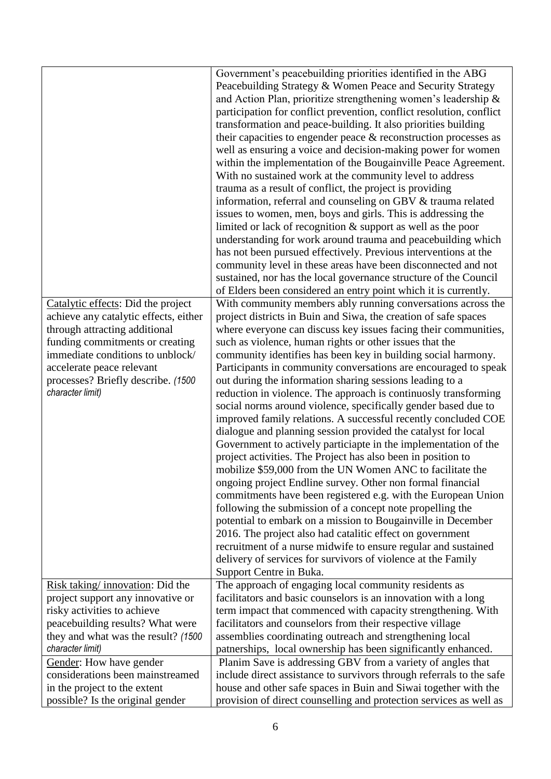|                                                             | Government's peacebuilding priorities identified in the ABG<br>Peacebuilding Strategy & Women Peace and Security Strategy           |
|-------------------------------------------------------------|-------------------------------------------------------------------------------------------------------------------------------------|
|                                                             | and Action Plan, prioritize strengthening women's leadership &                                                                      |
|                                                             | participation for conflict prevention, conflict resolution, conflict                                                                |
|                                                             | transformation and peace-building. It also priorities building                                                                      |
|                                                             |                                                                                                                                     |
|                                                             | their capacities to engender peace $\&$ reconstruction processes as                                                                 |
|                                                             | well as ensuring a voice and decision-making power for women                                                                        |
|                                                             | within the implementation of the Bougainville Peace Agreement.                                                                      |
|                                                             | With no sustained work at the community level to address                                                                            |
|                                                             | trauma as a result of conflict, the project is providing                                                                            |
|                                                             | information, referral and counseling on GBV & trauma related                                                                        |
|                                                             | issues to women, men, boys and girls. This is addressing the                                                                        |
|                                                             | limited or lack of recognition $\&$ support as well as the poor                                                                     |
|                                                             | understanding for work around trauma and peacebuilding which                                                                        |
|                                                             | has not been pursued effectively. Previous interventions at the                                                                     |
|                                                             | community level in these areas have been disconnected and not                                                                       |
|                                                             | sustained, nor has the local governance structure of the Council                                                                    |
|                                                             | of Elders been considered an entry point which it is currently.                                                                     |
| Catalytic effects: Did the project                          | With community members ably running conversations across the                                                                        |
| achieve any catalytic effects, either                       | project districts in Buin and Siwa, the creation of safe spaces                                                                     |
| through attracting additional                               | where everyone can discuss key issues facing their communities,                                                                     |
| funding commitments or creating                             | such as violence, human rights or other issues that the                                                                             |
| immediate conditions to unblock/                            | community identifies has been key in building social harmony.                                                                       |
| accelerate peace relevant                                   | Participants in community conversations are encouraged to speak                                                                     |
| processes? Briefly describe. (1500                          | out during the information sharing sessions leading to a                                                                            |
| character limit)                                            | reduction in violence. The approach is continuosly transforming                                                                     |
|                                                             | social norms around violence, specifically gender based due to                                                                      |
|                                                             | improved family relations. A successful recently concluded COE                                                                      |
|                                                             | dialogue and planning session provided the catalyst for local                                                                       |
|                                                             | Government to actively particiapte in the implementation of the                                                                     |
|                                                             | project activities. The Project has also been in position to                                                                        |
|                                                             | mobilize \$59,000 from the UN Women ANC to facilitate the                                                                           |
|                                                             | ongoing project Endline survey. Other non formal financial                                                                          |
|                                                             | commitments have been registered e.g. with the European Union                                                                       |
|                                                             | following the submission of a concept note propelling the                                                                           |
|                                                             | potential to embark on a mission to Bougainville in December                                                                        |
|                                                             | 2016. The project also had catalitic effect on government                                                                           |
|                                                             | recruitment of a nurse midwife to ensure regular and sustained                                                                      |
|                                                             | delivery of services for survivors of violence at the Family                                                                        |
|                                                             | Support Centre in Buka.                                                                                                             |
| Risk taking/innovation: Did the                             | The approach of engaging local community residents as                                                                               |
| project support any innovative or                           | facilitators and basic counselors is an innovation with a long                                                                      |
| risky activities to achieve                                 | term impact that commenced with capacity strengthening. With                                                                        |
| peacebuilding results? What were                            | facilitators and counselors from their respective village                                                                           |
| they and what was the result? (1500)                        | assemblies coordinating outreach and strengthening local                                                                            |
| character limit)                                            | patnerships, local ownership has been significantly enhanced.                                                                       |
| Gender: How have gender<br>considerations been mainstreamed | Planim Save is addressing GBV from a variety of angles that<br>include direct assistance to survivors through referrals to the safe |
| in the project to the extent                                | house and other safe spaces in Buin and Siwai together with the                                                                     |
| possible? Is the original gender                            | provision of direct counselling and protection services as well as                                                                  |
|                                                             |                                                                                                                                     |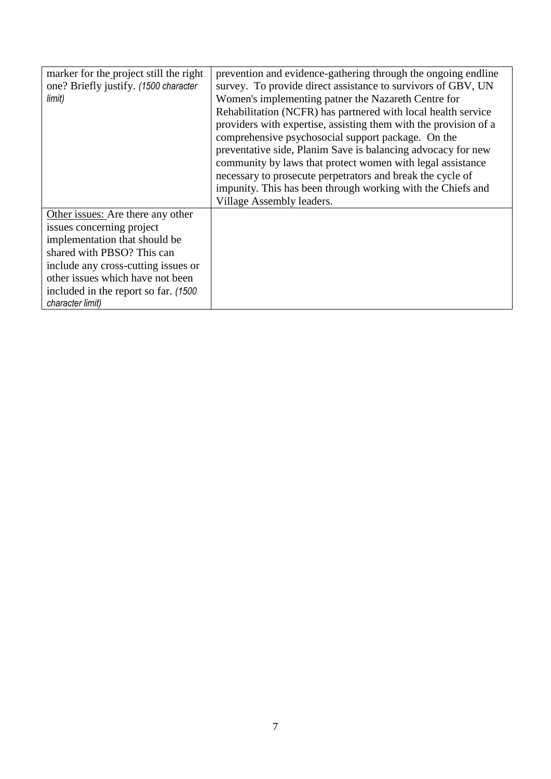| marker for the project still the right<br>one? Briefly justify. (1500 character<br>limit)                                                                                                                                                                             | prevention and evidence-gathering through the ongoing endline<br>survey. To provide direct assistance to survivors of GBV, UN<br>Women's implementing patner the Nazareth Centre for<br>Rehabilitation (NCFR) has partnered with local health service<br>providers with expertise, assisting them with the provision of a<br>comprehensive psychosocial support package. On the<br>preventative side, Planim Save is balancing advocacy for new<br>community by laws that protect women with legal assistance<br>necessary to prosecute perpetrators and break the cycle of<br>impunity. This has been through working with the Chiefs and<br>Village Assembly leaders. |
|-----------------------------------------------------------------------------------------------------------------------------------------------------------------------------------------------------------------------------------------------------------------------|-------------------------------------------------------------------------------------------------------------------------------------------------------------------------------------------------------------------------------------------------------------------------------------------------------------------------------------------------------------------------------------------------------------------------------------------------------------------------------------------------------------------------------------------------------------------------------------------------------------------------------------------------------------------------|
| Other issues: Are there any other<br>issues concerning project<br>implementation that should be<br>shared with PBSO? This can<br>include any cross-cutting issues or<br>other issues which have not been<br>included in the report so far. (1500)<br>character limit) |                                                                                                                                                                                                                                                                                                                                                                                                                                                                                                                                                                                                                                                                         |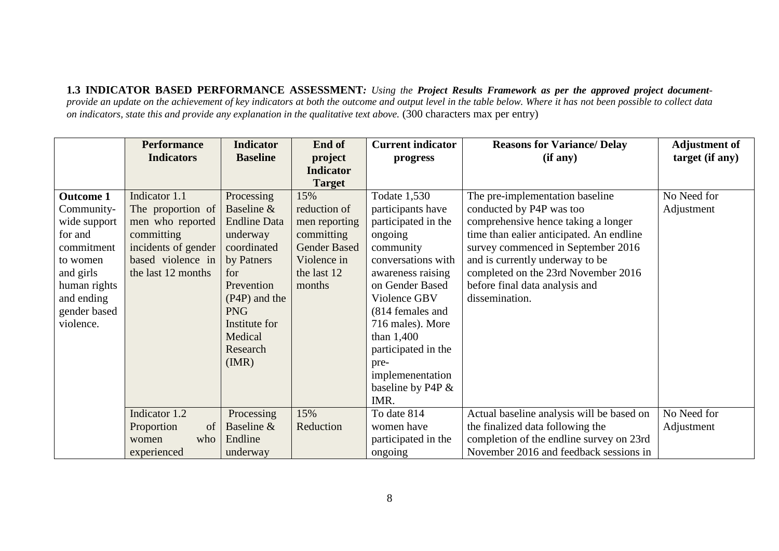**1.3 INDICATOR BASED PERFORMANCE ASSESSMENT***: Using the Project Results Framework as per the approved project documentprovide an update on the achievement of key indicators at both the outcome and output level in the table below. Where it has not been possible to collect data on indicators, state this and provide any explanation in the qualitative text above.* (300 characters max per entry)

|                  | <b>Performance</b>  | <b>Indicator</b>    | End of              | <b>Current indicator</b> | <b>Reasons for Variance/ Delay</b>        | <b>Adjustment of</b> |
|------------------|---------------------|---------------------|---------------------|--------------------------|-------------------------------------------|----------------------|
|                  | <b>Indicators</b>   | <b>Baseline</b>     | project             | progress                 | (if any)                                  | target (if any)      |
|                  |                     |                     | <b>Indicator</b>    |                          |                                           |                      |
|                  |                     |                     | <b>Target</b>       |                          |                                           |                      |
| <b>Outcome 1</b> | Indicator 1.1       | Processing          | 15%                 | Todate 1,530             | The pre-implementation baseline           | No Need for          |
| Community-       | The proportion of   | Baseline &          | reduction of        | participants have        | conducted by P4P was too                  | Adjustment           |
| wide support     | men who reported    | <b>Endline Data</b> | men reporting       | participated in the      | comprehensive hence taking a longer       |                      |
| for and          | committing          | underway            | committing          | ongoing                  | time than ealier anticipated. An endline  |                      |
| commitment       | incidents of gender | coordinated         | <b>Gender Based</b> | community                | survey commenced in September 2016        |                      |
| to women         | based violence in   | by Patners          | Violence in         | conversations with       | and is currently underway to be           |                      |
| and girls        | the last 12 months  | for                 | the last 12         | awareness raising        | completed on the 23rd November 2016       |                      |
| human rights     |                     | Prevention          | months              | on Gender Based          | before final data analysis and            |                      |
| and ending       |                     | (P4P) and the       |                     | Violence GBV             | dissemination.                            |                      |
| gender based     |                     | <b>PNG</b>          |                     | (814 females and         |                                           |                      |
| violence.        |                     | Institute for       |                     | 716 males). More         |                                           |                      |
|                  |                     | Medical             |                     | than $1,400$             |                                           |                      |
|                  |                     | Research            |                     | participated in the      |                                           |                      |
|                  |                     | (MR)                |                     | pre-                     |                                           |                      |
|                  |                     |                     |                     | implemenentation         |                                           |                      |
|                  |                     |                     |                     | baseline by P4P &        |                                           |                      |
|                  |                     |                     |                     | IMR.                     |                                           |                      |
|                  | Indicator 1.2       | Processing          | 15%                 | To date 814              | Actual baseline analysis will be based on | No Need for          |
|                  | Proportion<br>of    | Baseline &          | Reduction           | women have               | the finalized data following the          | Adjustment           |
|                  | who<br>women        | Endline             |                     | participated in the      | completion of the endline survey on 23rd  |                      |
|                  | experienced         | underway            |                     | ongoing                  | November 2016 and feedback sessions in    |                      |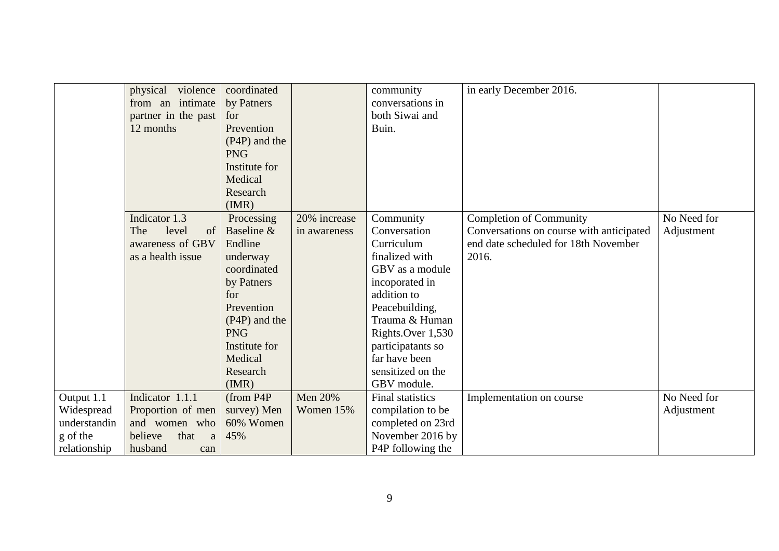|              | physical violence<br>from an intimate<br>partner in the past<br>12 months | coordinated<br>by Patners<br>for<br>Prevention<br>(P4P) and the<br><b>PNG</b><br>Institute for<br>Medical |                | community<br>conversations in<br>both Siwai and<br>Buin. | in early December 2016.                  |             |
|--------------|---------------------------------------------------------------------------|-----------------------------------------------------------------------------------------------------------|----------------|----------------------------------------------------------|------------------------------------------|-------------|
|              |                                                                           | Research<br>(MR)                                                                                          |                |                                                          |                                          |             |
|              | Indicator 1.3                                                             | Processing                                                                                                | 20% increase   | Community                                                | <b>Completion of Community</b>           | No Need for |
|              | The<br>level<br>of                                                        | Baseline &                                                                                                | in awareness   | Conversation                                             | Conversations on course with anticipated | Adjustment  |
|              | awareness of GBV                                                          | Endline                                                                                                   |                | Curriculum<br>finalized with                             | end date scheduled for 18th November     |             |
|              | as a health issue                                                         | underway<br>coordinated                                                                                   |                | GBV as a module                                          | 2016.                                    |             |
|              |                                                                           | by Patners                                                                                                |                | incoporated in                                           |                                          |             |
|              |                                                                           | for                                                                                                       |                | addition to                                              |                                          |             |
|              |                                                                           | Prevention                                                                                                |                | Peacebuilding,                                           |                                          |             |
|              |                                                                           | (P4P) and the                                                                                             |                | Trauma & Human                                           |                                          |             |
|              |                                                                           | <b>PNG</b>                                                                                                |                | Rights.Over 1,530                                        |                                          |             |
|              |                                                                           | Institute for                                                                                             |                | participatants so                                        |                                          |             |
|              |                                                                           | Medical                                                                                                   |                | far have been                                            |                                          |             |
|              |                                                                           | Research                                                                                                  |                | sensitized on the                                        |                                          |             |
|              |                                                                           | (MR)                                                                                                      |                | GBV module.                                              |                                          |             |
| Output 1.1   | Indicator 1.1.1                                                           | (from P4P)                                                                                                | <b>Men 20%</b> | <b>Final statistics</b>                                  | Implementation on course                 | No Need for |
| Widespread   | Proportion of men                                                         | survey) Men                                                                                               | Women 15%      | compilation to be                                        |                                          | Adjustment  |
| understandin | and women who                                                             | 60% Women                                                                                                 |                | completed on 23rd                                        |                                          |             |
| g of the     | believe<br>that<br>a                                                      | 45%                                                                                                       |                | November 2016 by                                         |                                          |             |
| relationship | husband<br>can                                                            |                                                                                                           |                | P4P following the                                        |                                          |             |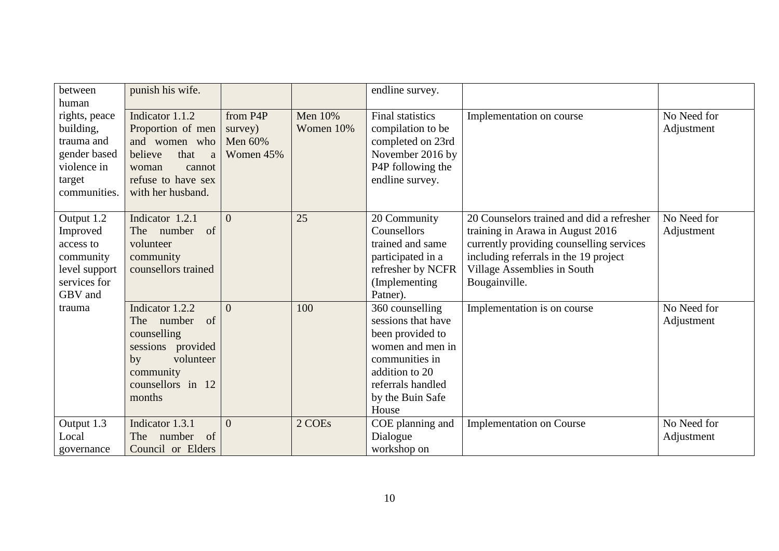| between<br>human                                                                                  | punish his wife.                                                                                                                            |                                             |                      | endline survey.                                                                                                                                                     |                                                                                                                                                                                                                    |                           |
|---------------------------------------------------------------------------------------------------|---------------------------------------------------------------------------------------------------------------------------------------------|---------------------------------------------|----------------------|---------------------------------------------------------------------------------------------------------------------------------------------------------------------|--------------------------------------------------------------------------------------------------------------------------------------------------------------------------------------------------------------------|---------------------------|
| rights, peace<br>building,<br>trauma and<br>gender based<br>violence in<br>target<br>communities. | Indicator 1.1.2<br>Proportion of men<br>and women who<br>believe<br>that<br>a<br>woman<br>cannot<br>refuse to have sex<br>with her husband. | from P4P<br>survey)<br>Men 60%<br>Women 45% | Men 10%<br>Women 10% | <b>Final statistics</b><br>compilation to be<br>completed on 23rd<br>November 2016 by<br>P4P following the<br>endline survey.                                       | Implementation on course                                                                                                                                                                                           | No Need for<br>Adjustment |
| Output 1.2<br>Improved<br>access to<br>community<br>level support<br>services for<br>GBV and      | Indicator 1.2.1<br>of<br>The number<br>volunteer<br>community<br>counsellors trained                                                        | $\Omega$                                    | 25                   | 20 Community<br>Counsellors<br>trained and same<br>participated in a<br>refresher by NCFR<br>(Implementing<br>Patner).                                              | 20 Counselors trained and did a refresher<br>training in Arawa in August 2016<br>currently providing counselling services<br>including referrals in the 19 project<br>Village Assemblies in South<br>Bougainville. | No Need for<br>Adjustment |
| trauma                                                                                            | Indicator 1.2.2<br>of<br>The number<br>counselling<br>sessions provided<br>volunteer<br>by<br>community<br>counsellors in 12<br>months      | $\theta$                                    | 100                  | 360 counselling<br>sessions that have<br>been provided to<br>women and men in<br>communities in<br>addition to 20<br>referrals handled<br>by the Buin Safe<br>House | Implementation is on course                                                                                                                                                                                        | No Need for<br>Adjustment |
| Output 1.3<br>Local<br>governance                                                                 | Indicator 1.3.1<br>The number<br>of<br>Council or Elders                                                                                    | $\Omega$                                    | 2 COEs               | COE planning and<br>Dialogue<br>workshop on                                                                                                                         | <b>Implementation on Course</b>                                                                                                                                                                                    | No Need for<br>Adjustment |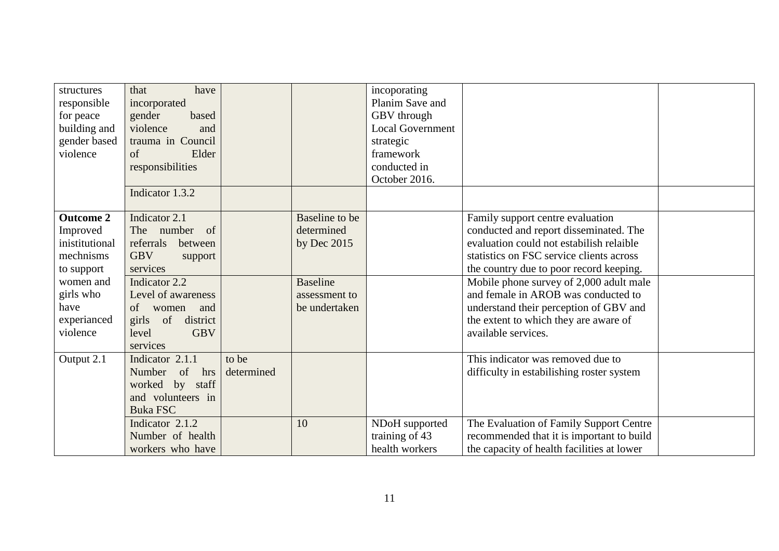| structures<br>responsible<br>for peace<br>building and<br>gender based<br>violence                                                     | that<br>have<br>incorporated<br>gender<br>based<br>violence<br>and<br>trauma in Council<br>of<br>Elder<br>responsibilities<br>Indicator 1.3.2                                                                 |                     |                                                                                                    | incoporating<br>Planim Save and<br>GBV through<br><b>Local Government</b><br>strategic<br>framework<br>conducted in<br>October 2016. |                                                                                                                                                                                                                                                                                                                                                                                                           |  |
|----------------------------------------------------------------------------------------------------------------------------------------|---------------------------------------------------------------------------------------------------------------------------------------------------------------------------------------------------------------|---------------------|----------------------------------------------------------------------------------------------------|--------------------------------------------------------------------------------------------------------------------------------------|-----------------------------------------------------------------------------------------------------------------------------------------------------------------------------------------------------------------------------------------------------------------------------------------------------------------------------------------------------------------------------------------------------------|--|
| <b>Outcome 2</b><br>Improved<br>inistitutional<br>mechnisms<br>to support<br>women and<br>girls who<br>have<br>experianced<br>violence | Indicator 2.1<br>The number of<br>referrals<br>between<br><b>GBV</b><br>support<br>services<br>Indicator 2.2<br>Level of awareness<br>of<br>women and<br>girls of district<br><b>GBV</b><br>level<br>services |                     | Baseline to be<br>determined<br>by Dec $2015$<br><b>Baseline</b><br>assessment to<br>be undertaken |                                                                                                                                      | Family support centre evaluation<br>conducted and report disseminated. The<br>evaluation could not estabilish relaible<br>statistics on FSC service clients across<br>the country due to poor record keeping.<br>Mobile phone survey of 2,000 adult male<br>and female in AROB was conducted to<br>understand their perception of GBV and<br>the extent to which they are aware of<br>available services. |  |
| Output 2.1                                                                                                                             | Indicator 2.1.1<br>Number of<br>hrs<br>worked by staff<br>and volunteers in<br><b>Buka FSC</b><br>Indicator 2.1.2<br>Number of health                                                                         | to be<br>determined | 10                                                                                                 | NDoH supported<br>training of 43                                                                                                     | This indicator was removed due to<br>difficulty in estabilishing roster system<br>The Evaluation of Family Support Centre<br>recommended that it is important to build                                                                                                                                                                                                                                    |  |
|                                                                                                                                        | workers who have                                                                                                                                                                                              |                     |                                                                                                    | health workers                                                                                                                       | the capacity of health facilities at lower                                                                                                                                                                                                                                                                                                                                                                |  |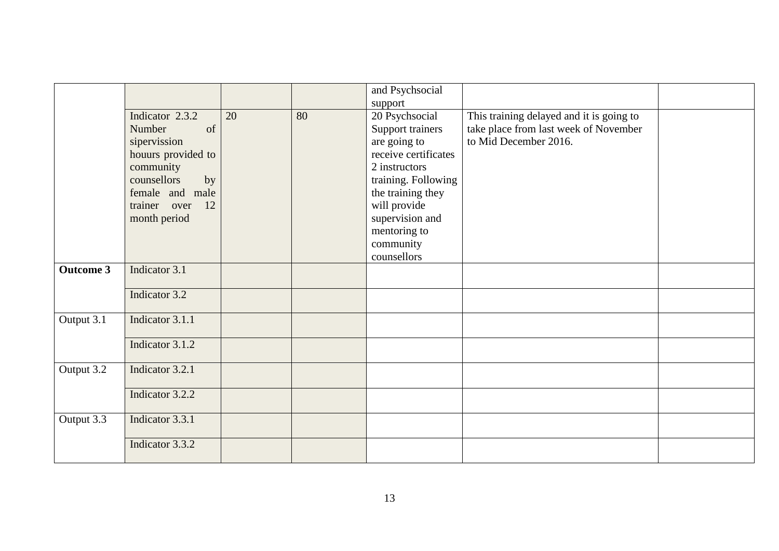|                  |                    |    |    | and Psychsocial      |                                          |  |
|------------------|--------------------|----|----|----------------------|------------------------------------------|--|
|                  |                    |    |    | support              |                                          |  |
|                  | Indicator 2.3.2    | 20 | 80 | 20 Psychsocial       | This training delayed and it is going to |  |
|                  | Number<br>of       |    |    | Support trainers     | take place from last week of November    |  |
|                  | sipervission       |    |    | are going to         | to Mid December 2016.                    |  |
|                  | houurs provided to |    |    | receive certificates |                                          |  |
|                  |                    |    |    | 2 instructors        |                                          |  |
|                  | community          |    |    |                      |                                          |  |
|                  | counsellors<br>by  |    |    | training. Following  |                                          |  |
|                  | female and male    |    |    | the training they    |                                          |  |
|                  | 12<br>trainer over |    |    | will provide         |                                          |  |
|                  | month period       |    |    | supervision and      |                                          |  |
|                  |                    |    |    | mentoring to         |                                          |  |
|                  |                    |    |    | community            |                                          |  |
|                  |                    |    |    | counsellors          |                                          |  |
| <b>Outcome 3</b> | Indicator 3.1      |    |    |                      |                                          |  |
|                  |                    |    |    |                      |                                          |  |
|                  | Indicator 3.2      |    |    |                      |                                          |  |
|                  |                    |    |    |                      |                                          |  |
| Output 3.1       | Indicator 3.1.1    |    |    |                      |                                          |  |
|                  |                    |    |    |                      |                                          |  |
|                  | Indicator 3.1.2    |    |    |                      |                                          |  |
|                  |                    |    |    |                      |                                          |  |
| Output 3.2       | Indicator 3.2.1    |    |    |                      |                                          |  |
|                  |                    |    |    |                      |                                          |  |
|                  | Indicator 3.2.2    |    |    |                      |                                          |  |
|                  |                    |    |    |                      |                                          |  |
| Output 3.3       | Indicator 3.3.1    |    |    |                      |                                          |  |
|                  |                    |    |    |                      |                                          |  |
|                  | Indicator 3.3.2    |    |    |                      |                                          |  |
|                  |                    |    |    |                      |                                          |  |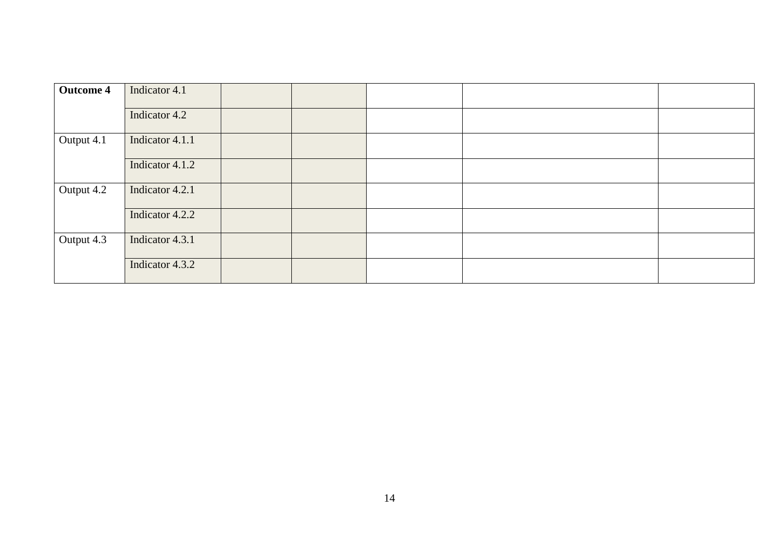| <b>Outcome 4</b> | Indicator 4.1   |  |  |
|------------------|-----------------|--|--|
|                  | Indicator 4.2   |  |  |
| Output 4.1       | Indicator 4.1.1 |  |  |
|                  | Indicator 4.1.2 |  |  |
| Output 4.2       | Indicator 4.2.1 |  |  |
|                  | Indicator 4.2.2 |  |  |
| Output 4.3       | Indicator 4.3.1 |  |  |
|                  | Indicator 4.3.2 |  |  |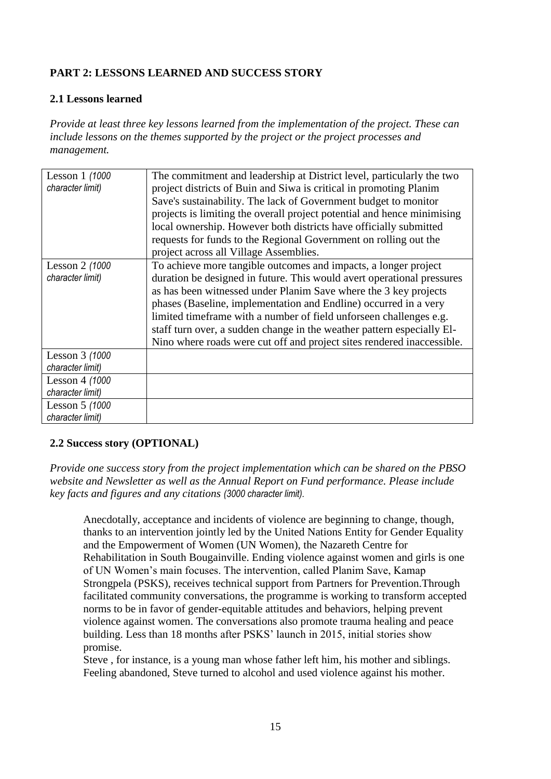# **PART 2: LESSONS LEARNED AND SUCCESS STORY**

# **2.1 Lessons learned**

*Provide at least three key lessons learned from the implementation of the project. These can include lessons on the themes supported by the project or the project processes and management.*

| Lesson 1 (1000   | The commitment and leadership at District level, particularly the two   |
|------------------|-------------------------------------------------------------------------|
| character limit) | project districts of Buin and Siwa is critical in promoting Planim      |
|                  | Save's sustainability. The lack of Government budget to monitor         |
|                  | projects is limiting the overall project potential and hence minimising |
|                  | local ownership. However both districts have officially submitted       |
|                  | requests for funds to the Regional Government on rolling out the        |
|                  | project across all Village Assemblies.                                  |
| Lesson 2 (1000   | To achieve more tangible outcomes and impacts, a longer project         |
| character limit) | duration be designed in future. This would avert operational pressures  |
|                  | as has been witnessed under Planim Save where the 3 key projects        |
|                  | phases (Baseline, implementation and Endline) occurred in a very        |
|                  | limited timeframe with a number of field unforseen challenges e.g.      |
|                  | staff turn over, a sudden change in the weather pattern especially El-  |
|                  | Nino where roads were cut off and project sites rendered inaccessible.  |
| Lesson 3 (1000   |                                                                         |
| character limit) |                                                                         |
| Lesson 4 (1000   |                                                                         |
| character limit) |                                                                         |
| Lesson 5 (1000   |                                                                         |
| character limit) |                                                                         |

# **2.2 Success story (OPTIONAL)**

*Provide one success story from the project implementation which can be shared on the PBSO website and Newsletter as well as the Annual Report on Fund performance. Please include key facts and figures and any citations (3000 character limit).*

Anecdotally, acceptance and incidents of violence are beginning to change, though, thanks to an intervention jointly led by the United Nations Entity for Gender Equality and the Empowerment of Women (UN Women), the Nazareth Centre for Rehabilitation in South Bougainville. Ending violence against women and girls is one of UN Women's main focuses. The intervention, called Planim Save, Kamap Strongpela (PSKS), receives technical support from Partners for Prevention.Through facilitated community conversations, the programme is working to transform accepted norms to be in favor of gender-equitable attitudes and behaviors, helping prevent violence against women. The conversations also promote trauma healing and peace building. Less than 18 months after PSKS' launch in 2015, initial stories show promise.

Steve , for instance, is a young man whose father left him, his mother and siblings. Feeling abandoned, Steve turned to alcohol and used violence against his mother.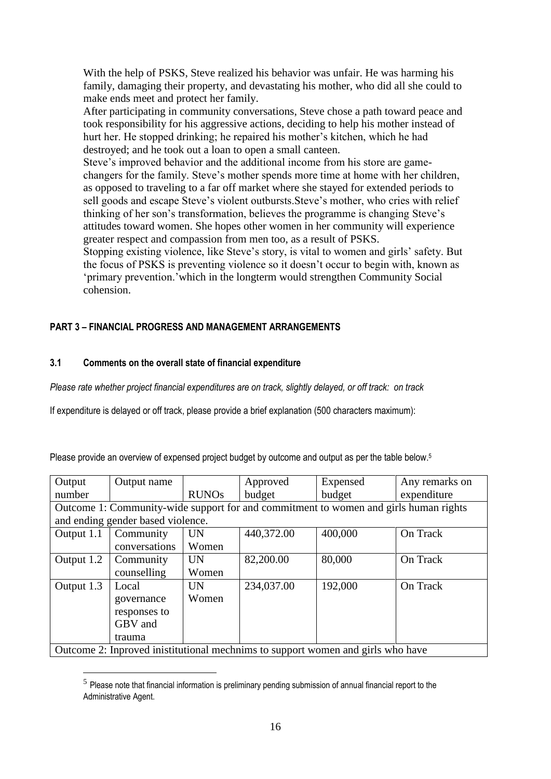With the help of PSKS, Steve realized his behavior was unfair. He was harming his family, damaging their property, and devastating his mother, who did all she could to make ends meet and protect her family.

After participating in community conversations, Steve chose a path toward peace and took responsibility for his aggressive actions, deciding to help his mother instead of hurt her. He stopped drinking; he repaired his mother's kitchen, which he had destroyed; and he took out a loan to open a small canteen.

Steve's improved behavior and the additional income from his store are gamechangers for the family. Steve's mother spends more time at home with her children, as opposed to traveling to a far off market where she stayed for extended periods to sell goods and escape Steve's violent outbursts.Steve's mother, who cries with relief thinking of her son's transformation, believes the programme is changing Steve's attitudes toward women. She hopes other women in her community will experience greater respect and compassion from men too, as a result of PSKS.

Stopping existing violence, like Steve's story, is vital to women and girls' safety. But the focus of PSKS is preventing violence so it doesn't occur to begin with, known as 'primary prevention.'which in the longterm would strengthen Community Social cohension.

# **PART 3** *–* **FINANCIAL PROGRESS AND MANAGEMENT ARRANGEMENTS**

### **3.1 Comments on the overall state of financial expenditure**

<u>.</u>

*Please rate whether project financial expenditures are on track, slightly delayed, or off track: on track*

If expenditure is delayed or off track, please provide a brief explanation (500 characters maximum):

Please provide an overview of expensed project budget by outcome and output as per the table below.<sup>5</sup>

| Output                                                                               | Output name                       |              | Approved   | Expensed                                                                        | Any remarks on |  |  |
|--------------------------------------------------------------------------------------|-----------------------------------|--------------|------------|---------------------------------------------------------------------------------|----------------|--|--|
| number                                                                               |                                   | <b>RUNOs</b> | budget     | budget                                                                          | expenditure    |  |  |
| Outcome 1: Community-wide support for and commitment to women and girls human rights |                                   |              |            |                                                                                 |                |  |  |
|                                                                                      | and ending gender based violence. |              |            |                                                                                 |                |  |  |
| Output 1.1                                                                           | Community                         | <b>UN</b>    | 440,372.00 | 400,000                                                                         | On Track       |  |  |
|                                                                                      | conversations                     | Women        |            |                                                                                 |                |  |  |
| Output 1.2                                                                           | Community                         | <b>UN</b>    | 82,200.00  | 80,000                                                                          | On Track       |  |  |
|                                                                                      | counselling                       | Women        |            |                                                                                 |                |  |  |
| Output 1.3                                                                           | Local                             | <b>UN</b>    | 234,037.00 | 192,000                                                                         | On Track       |  |  |
|                                                                                      | governance                        | Women        |            |                                                                                 |                |  |  |
|                                                                                      | responses to                      |              |            |                                                                                 |                |  |  |
|                                                                                      | GBV and                           |              |            |                                                                                 |                |  |  |
|                                                                                      | trauma                            |              |            |                                                                                 |                |  |  |
|                                                                                      |                                   |              |            | Outcome 2: Inproved inistitutional mechnims to support women and girls who have |                |  |  |

 $<sup>5</sup>$  Please note that financial information is preliminary pending submission of annual financial report to the</sup> Administrative Agent.